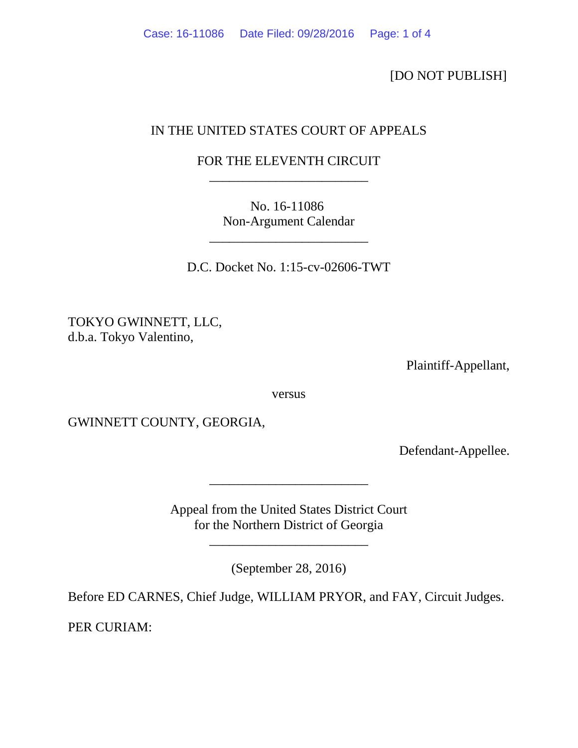[DO NOT PUBLISH]

## IN THE UNITED STATES COURT OF APPEALS

## FOR THE ELEVENTH CIRCUIT \_\_\_\_\_\_\_\_\_\_\_\_\_\_\_\_\_\_\_\_\_\_\_\_

No. 16-11086 Non-Argument Calendar

\_\_\_\_\_\_\_\_\_\_\_\_\_\_\_\_\_\_\_\_\_\_\_\_

D.C. Docket No. 1:15-cv-02606-TWT

TOKYO GWINNETT, LLC, d.b.a. Tokyo Valentino,

Plaintiff-Appellant,

versus

GWINNETT COUNTY, GEORGIA,

Defendant-Appellee.

Appeal from the United States District Court for the Northern District of Georgia

\_\_\_\_\_\_\_\_\_\_\_\_\_\_\_\_\_\_\_\_\_\_\_\_

(September 28, 2016)

\_\_\_\_\_\_\_\_\_\_\_\_\_\_\_\_\_\_\_\_\_\_\_\_

Before ED CARNES, Chief Judge, WILLIAM PRYOR, and FAY, Circuit Judges.

PER CURIAM: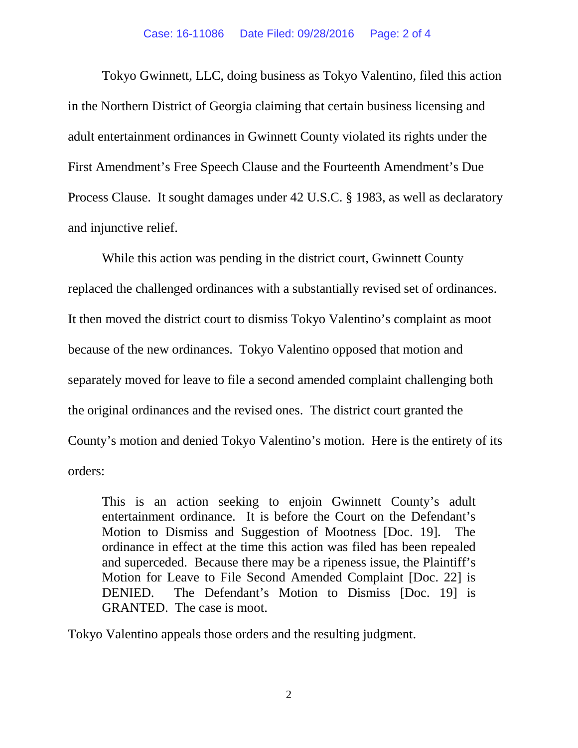Tokyo Gwinnett, LLC, doing business as Tokyo Valentino, filed this action in the Northern District of Georgia claiming that certain business licensing and adult entertainment ordinances in Gwinnett County violated its rights under the First Amendment's Free Speech Clause and the Fourteenth Amendment's Due Process Clause. It sought damages under 42 U.S.C. § 1983, as well as declaratory and injunctive relief.

While this action was pending in the district court, Gwinnett County replaced the challenged ordinances with a substantially revised set of ordinances. It then moved the district court to dismiss Tokyo Valentino's complaint as moot because of the new ordinances. Tokyo Valentino opposed that motion and separately moved for leave to file a second amended complaint challenging both the original ordinances and the revised ones. The district court granted the County's motion and denied Tokyo Valentino's motion. Here is the entirety of its orders:

This is an action seeking to enjoin Gwinnett County's adult entertainment ordinance. It is before the Court on the Defendant's Motion to Dismiss and Suggestion of Mootness [Doc. 19]. The ordinance in effect at the time this action was filed has been repealed and superceded. Because there may be a ripeness issue, the Plaintiff's Motion for Leave to File Second Amended Complaint [Doc. 22] is DENIED. The Defendant's Motion to Dismiss [Doc. 19] is GRANTED. The case is moot.

Tokyo Valentino appeals those orders and the resulting judgment.

2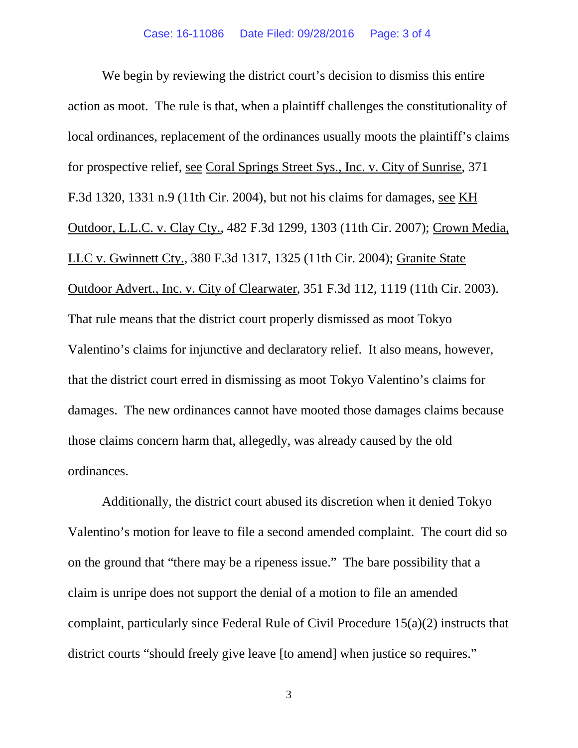We begin by reviewing the district court's decision to dismiss this entire action as moot. The rule is that, when a plaintiff challenges the constitutionality of local ordinances, replacement of the ordinances usually moots the plaintiff's claims for prospective relief, see Coral Springs Street Sys., Inc. v. City of Sunrise, 371 F.3d 1320, 1331 n.9 (11th Cir. 2004), but not his claims for damages, see KH Outdoor, L.L.C. v. Clay Cty., 482 F.3d 1299, 1303 (11th Cir. 2007); Crown Media, LLC v. Gwinnett Cty., 380 F.3d 1317, 1325 (11th Cir. 2004); Granite State Outdoor Advert., Inc. v. City of Clearwater, 351 F.3d 112, 1119 (11th Cir. 2003). That rule means that the district court properly dismissed as moot Tokyo Valentino's claims for injunctive and declaratory relief. It also means, however, that the district court erred in dismissing as moot Tokyo Valentino's claims for damages. The new ordinances cannot have mooted those damages claims because those claims concern harm that, allegedly, was already caused by the old ordinances.

Additionally, the district court abused its discretion when it denied Tokyo Valentino's motion for leave to file a second amended complaint. The court did so on the ground that "there may be a ripeness issue." The bare possibility that a claim is unripe does not support the denial of a motion to file an amended complaint, particularly since Federal Rule of Civil Procedure 15(a)(2) instructs that district courts "should freely give leave [to amend] when justice so requires."

3